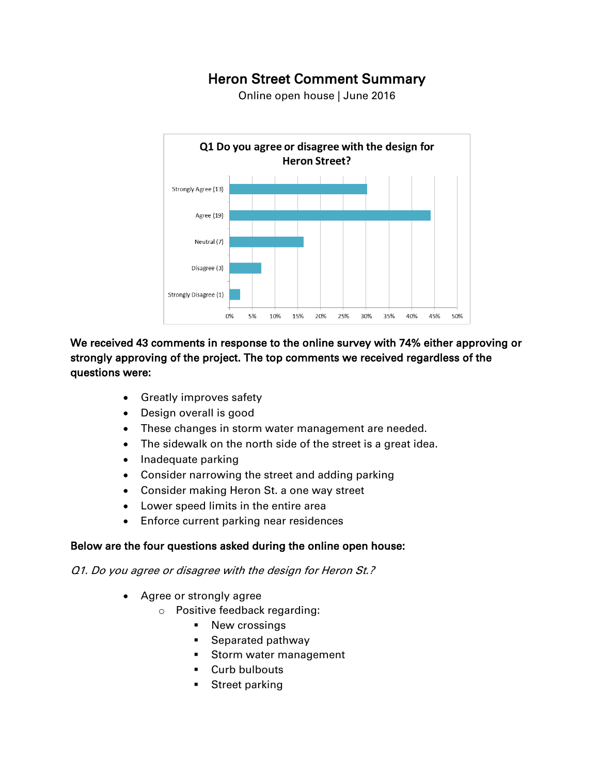# **Heron Street Comment Summary**

Online open house | June 2016



### **We received 43 comments in response to the online survey with 74% either approving or strongly approving of the project. The top comments we received regardless of the questions were:**

- Greatly improves safety
- Design overall is good
- These changes in storm water management are needed.
- The sidewalk on the north side of the street is a great idea.
- Inadequate parking
- Consider narrowing the street and adding parking
- Consider making Heron St. a one way street
- Lower speed limits in the entire area
- Enforce current parking near residences

#### **Below are the four questions asked during the online open house:**

*Q1. Do you agree or disagree with the design for Heron St.?*

- Agree or strongly agree
	- o Positive feedback regarding:
		- **New crossings**
		- Separated pathway
		- Storm water management
		- Curb bulbouts
		- Street parking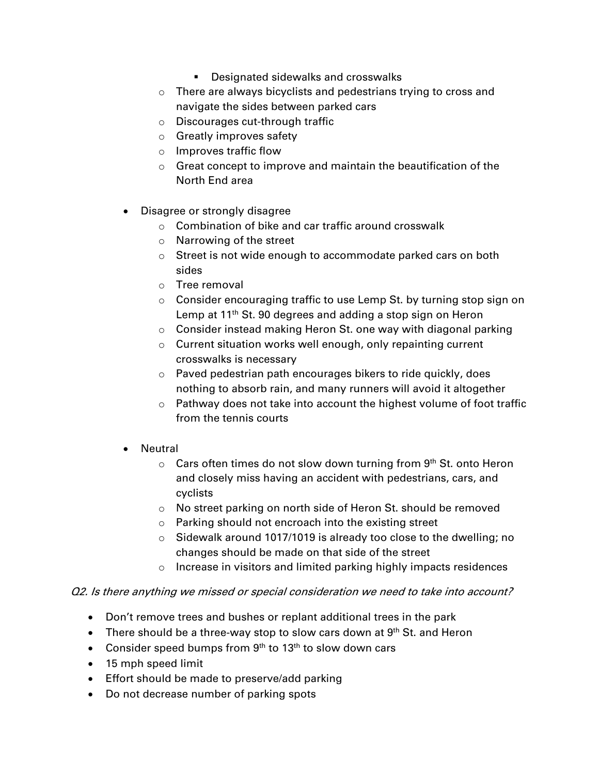- **Designated sidewalks and crosswalks**
- o There are always bicyclists and pedestrians trying to cross and navigate the sides between parked cars
- o Discourages cut-through traffic
- o Greatly improves safety
- o Improves traffic flow
- $\circ$  Great concept to improve and maintain the beautification of the North End area
- Disagree or strongly disagree
	- o Combination of bike and car traffic around crosswalk
	- o Narrowing of the street
	- $\circ$  Street is not wide enough to accommodate parked cars on both sides
	- o Tree removal
	- $\circ$  Consider encouraging traffic to use Lemp St. by turning stop sign on Lemp at 11<sup>th</sup> St. 90 degrees and adding a stop sign on Heron
	- o Consider instead making Heron St. one way with diagonal parking
	- o Current situation works well enough, only repainting current crosswalks is necessary
	- o Paved pedestrian path encourages bikers to ride quickly, does nothing to absorb rain, and many runners will avoid it altogether
	- o Pathway does not take into account the highest volume of foot traffic from the tennis courts
- Neutral
	- $\circ$  Cars often times do not slow down turning from 9th St. onto Heron and closely miss having an accident with pedestrians, cars, and cyclists
	- o No street parking on north side of Heron St. should be removed
	- o Parking should not encroach into the existing street
	- o Sidewalk around 1017/1019 is already too close to the dwelling; no changes should be made on that side of the street
	- o Increase in visitors and limited parking highly impacts residences

#### *Q2. Is there anything we missed or special consideration we need to take into account?*

- Don't remove trees and bushes or replant additional trees in the park
- There should be a three-way stop to slow cars down at  $9<sup>th</sup>$  St. and Heron
- Consider speed bumps from  $9<sup>th</sup>$  to 13<sup>th</sup> to slow down cars
- 15 mph speed limit
- **Effort should be made to preserve/add parking**
- Do not decrease number of parking spots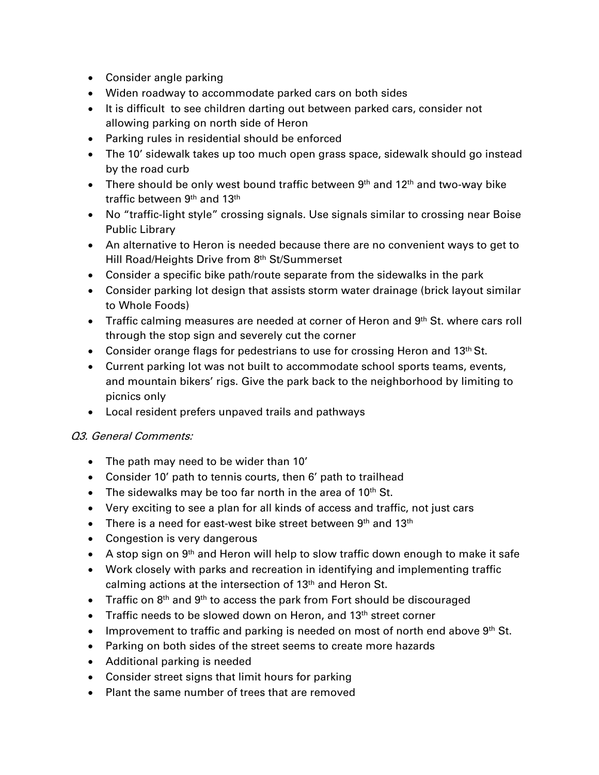- Consider angle parking
- Widen roadway to accommodate parked cars on both sides
- It is difficult to see children darting out between parked cars, consider not allowing parking on north side of Heron
- Parking rules in residential should be enforced
- The 10' sidewalk takes up too much open grass space, sidewalk should go instead by the road curb
- There should be only west bound traffic between  $9<sup>th</sup>$  and  $12<sup>th</sup>$  and two-way bike traffic between 9<sup>th</sup> and 13<sup>th</sup>
- No "traffic-light style" crossing signals. Use signals similar to crossing near Boise Public Library
- An alternative to Heron is needed because there are no convenient ways to get to Hill Road/Heights Drive from 8<sup>th</sup> St/Summerset
- Consider a specific bike path/route separate from the sidewalks in the park
- Consider parking lot design that assists storm water drainage (brick layout similar to Whole Foods)
- Traffic calming measures are needed at corner of Heron and 9<sup>th</sup> St. where cars roll through the stop sign and severely cut the corner
- Consider orange flags for pedestrians to use for crossing Heron and 13<sup>th</sup> St.
- Current parking lot was not built to accommodate school sports teams, events, and mountain bikers' rigs. Give the park back to the neighborhood by limiting to picnics only
- Local resident prefers unpaved trails and pathways

#### *Q3. General Comments:*

- The path may need to be wider than 10'
- Consider 10' path to tennis courts, then 6' path to trailhead
- The sidewalks may be too far north in the area of  $10<sup>th</sup>$  St.
- Very exciting to see a plan for all kinds of access and traffic, not just cars
- There is a need for east-west bike street between  $9<sup>th</sup>$  and 13<sup>th</sup>
- Congestion is very dangerous
- A stop sign on 9<sup>th</sup> and Heron will help to slow traffic down enough to make it safe
- Work closely with parks and recreation in identifying and implementing traffic calming actions at the intersection of 13<sup>th</sup> and Heron St.
- Traffic on 8<sup>th</sup> and 9<sup>th</sup> to access the park from Fort should be discouraged
- Traffic needs to be slowed down on Heron, and 13<sup>th</sup> street corner
- Improvement to traffic and parking is needed on most of north end above  $9<sup>th</sup>$  St.
- Parking on both sides of the street seems to create more hazards
- Additional parking is needed
- Consider street signs that limit hours for parking
- Plant the same number of trees that are removed